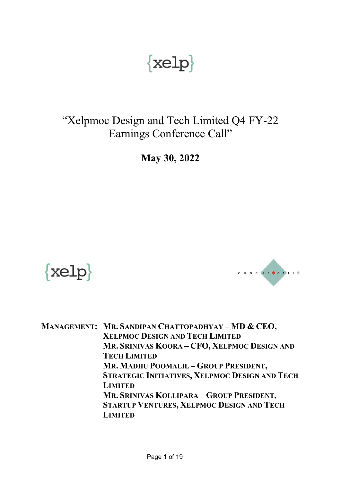# $\{$  xelp $\}$

# "Xelpmoc Design and Tech Limited Q4 FY-22 Earnings Conference Call"

**May 30, 2022**





**MANAGEMENT: MR. SANDIPAN CHATTOPADHYAY – MD & CEO, XELPMOC DESIGN AND TECH LIMITED MR. SRINIVAS KOORA – CFO, XELPMOC DESIGN AND TECH LIMITED MR. MADHU POOMALIL – GROUP PRESIDENT, STRATEGIC INITIATIVES, XELPMOC DESIGN AND TECH LIMITED MR. SRINIVAS KOLLIPARA – GROUP PRESIDENT, STARTUP VENTURES, XELPMOC DESIGN AND TECH LIMITED**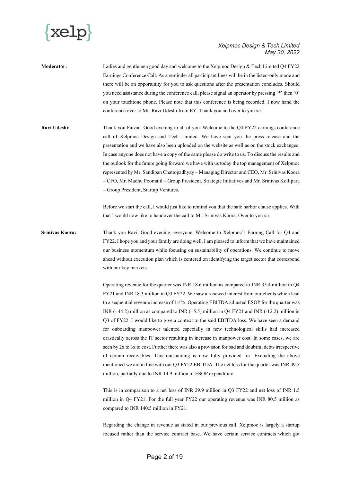

- **Moderator:** Ladies and gentlemen good day and welcome to the Xelpmoc Design & Tech Limited Q4 FY22 Earnings Conference Call. As a reminder all participant lines will be in the listen-only mode and there will be an opportunity for you to ask questions after the presentation concludes. Should you need assistance during the conference call, please signal an operator by pressing '\*' then '0' on your touchtone phone. Please note that this conference is being recorded. I now hand the conference over to Mr. Ravi Udeshi from EY. Thank you and over to you sir.
- **Ravi Udeshi:** Thank you Faizan. Good evening to all of you. Welcome to the Q4 FY22 earnings conference call of Xelpmoc Design and Tech Limited. We have sent you the press release and the presentation and we have also been uploaded on the website as well as on the stock exchanges. In case anyone does not have a copy of the same please do write to us. To discuss the results and the outlook for the future going forward we have with us today the top management of Xelpmoc represented by Mr. Sandipan Chattopadhyay – Managing Director and CEO, Mr. Srinivas Koora – CFO, Mr. Madhu Poomalil – Group President, Strategic Initiatives and Mr. Srinivas Kollipara – Group President, Startup Ventures.

Before we start the call, I would just like to remind you that the safe harbor clause applies. With that I would now like to handover the call to Mr. Srinivas Koora. Over to you sir.

**Srinivas Koora:** Thank you Ravi. Good evening, everyone. Welcome to Xelpmoc's Earning Call for Q4 and FY22. I hope you and your family are doing well. I am pleased to inform that we have maintained our business momentum while focusing on sustainability of operations. We continue to move ahead without execution plan which is centered on identifying the target sector that correspond with our key markets.

> Operating revenue for the quarter was INR 18.6 million as compared to INR 35.4 million in Q4 FY21 and INR 18.3 million in Q3 FY22. We saw a renewed interest from our clients which lead to a sequential revenue increase of 1.4%. Operating EBITDA adjusted ESOP for the quarter was INR (- 44.2) million as compared to INR (+5.5) million in Q4 FY21 and INR (-12.2) million in Q3 of FY22. I would like to give a context to the said EBITDA loss. We have seen a demand for onboarding manpower talented especially in new technological skills had increased drastically across the IT sector resulting in increase in manpower cost. In some cases, we are seen by 2x to 3x to cost. Further there was also a provision for bad and doubtful debts irrespective of certain receivables. This outstanding is now fully provided for. Excluding the above mentioned we are in line with our Q3 FY22 EBITDA. The net loss for the quarter was INR 49.5 million, partially due to INR 14.9 million of ESOP expenditure.

> This is in comparison to a net loss of INR 29.9 million in Q3 FY22 and net loss of INR 1.5 million in Q4 FY21. For the full year FY22 our operating revenue was INR 80.5 million as compared to INR 140.5 million in FY21.

> Regarding the change in revenue as stated in our previous call, Xelpmoc is largely a startup focused rather than the service contract base. We have certain service contracts which got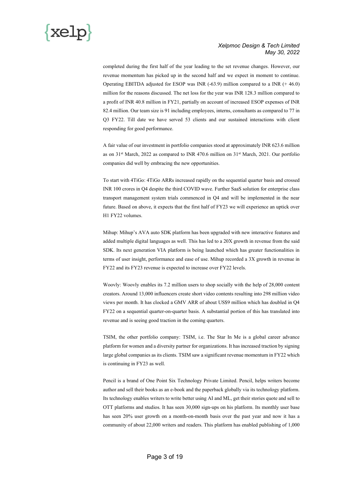

completed during the first half of the year leading to the set revenue changes. However, our revenue momentum has picked up in the second half and we expect in moment to continue. Operating EBITDA adjusted for ESOP was INR (-63.9) million compared to a INR (+ 46.0) million for the reasons discussed. The net loss for the year was INR 128.3 million compared to a profit of INR 40.8 million in FY21, partially on account of increased ESOP expenses of INR 82.4 million. Our team size is 91 including employees, interns, consultants as compared to 77 in Q3 FY22. Till date we have served 53 clients and our sustained interactions with client responding for good performance.

A fair value of our investment in portfolio companies stood at approximately INR 623.6 million as on  $31<sup>st</sup>$  March, 2022 as compared to INR 470.6 million on  $31<sup>st</sup>$  March, 2021. Our portfolio companies did well by embracing the new opportunities.

To start with 4TiGo: 4TiGo ARRs increased rapidly on the sequential quarter basis and crossed INR 100 crores in Q4 despite the third COVID wave. Further SaaS solution for enterprise class transport management system trials commenced in Q4 and will be implemented in the near future. Based on above, it expects that the first half of FY23 we will experience an uptick over H1 FY22 volumes.

Mihup: Mihup's AVA auto SDK platform has been upgraded with new interactive features and added multiple digital languages as well. This has led to a 20X growth in revenue from the said SDK. Its next generation VIA platform is being launched which has greater functionalities in terms of user insight, performance and ease of use. Mihup recorded a 3X growth in revenue in FY22 and its FY23 revenue is expected to increase over FY22 levels.

Woovly: Woovly enables its 7.2 million users to shop socially with the help of 28,000 content creators. Around 13,000 influencers create short video contents resulting into 298 million video views per month. It has clocked a GMV ARR of about US\$9 million which has doubled in Q4 FY22 on a sequential quarter-on-quarter basis. A substantial portion of this has translated into revenue and is seeing good traction in the coming quarters.

TSIM, the other portfolio company: TSIM, i.e. The Star In Me is a global career advance platform for women and a diversity partner for organizations. It has increased traction by signing large global companies as its clients. TSIM saw a significant revenue momentum in FY22 which is continuing in FY23 as well.

Pencil is a brand of One Point Six Technology Private Limited. Pencil, helps writers become author and sell their books as an e-book and the paperback globally via its technology platform. Its technology enables writers to write better using AI and ML, get their stories quote and sell to OTT platforms and studios. It has seen 30,000 sign-ups on his platform. Its monthly user base has seen 20% user growth on a month-on-month basis over the past year and now it has a community of about 22,000 writers and readers. This platform has enabled publishing of 1,000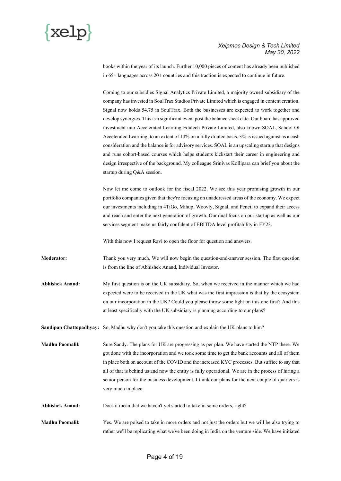

books within the year of its launch. Further 10,000 pieces of content has already been published in 65+ languages across 20+ countries and this traction is expected to continue in future.

Coming to our subsidies Signal Analytics Private Limited, a majority owned subsidiary of the company has invested in SoulTrax Studios Private Limited which is engaged in content creation. Signal now holds 54.75 in SoulTrax. Both the businesses are expected to work together and develop synergies. This is a significant event post the balance sheet date. Our board has approved investment into Accelerated Learning Edutech Private Limited, also known SOAL, School Of Accelerated Learning, to an extent of 14% on a fully diluted basis. 3% is issued against as a cash consideration and the balance is for advisory services. SOAL is an upscaling startup that designs and runs cohort-based courses which helps students kickstart their career in engineering and design irrespective of the background. My colleague Srinivas Kollipara can brief you about the startup during Q&A session.

Now let me come to outlook for the fiscal 2022. We see this year promising growth in our portfolio companies given that they're focusing on unaddressed areas of the economy. We expect our investments including in 4TiGo, Mihup, Woovly, Signal, and Pencil to expand their access and reach and enter the next generation of growth. Our dual focus on our startup as well as our services segment make us fairly confident of EBITDA level profitability in FY23.

With this now I request Ravi to open the floor for question and answers.

**Moderator:** Thank you very much. We will now begin the question-and-answer session. The first question is from the line of Abhishek Anand, Individual Investor.

**Abhishek Anand:** My first question is on the UK subsidiary. So, when we received in the manner which we had expected were to be received in the UK what was the first impression is that by the ecosystem on our incorporation in the UK? Could you please throw some light on this one first? And this at least specifically with the UK subsidiary is planning according to our plans?

**Sandipan Chattopadhyay:** So, Madhu why don't you take this question and explain the UK plans to him?

**Madhu Poomalil:** Sure Sandy. The plans for UK are progressing as per plan. We have started the NTP there. We got done with the incorporation and we took some time to get the bank accounts and all of them in place both on account of the COVID and the increased KYC processes. But suffice to say that all of that is behind us and now the entity is fully operational. We are in the process of hiring a senior person for the business development. I think our plans for the next couple of quarters is very much in place.

**Abhishek Anand:** Does it mean that we haven't yet started to take in some orders, right?

**Madhu Poomalil:** Yes. We are poised to take in more orders and not just the orders but we will be also trying to rather we'll be replicating what we've been doing in India on the venture side. We have initiated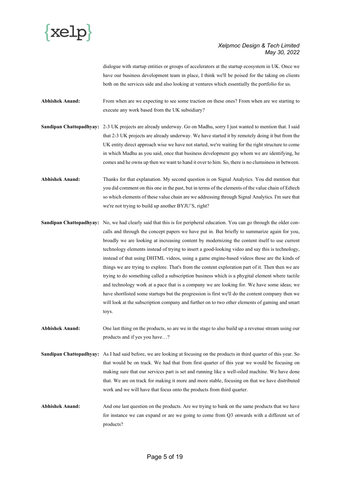

dialogue with startup entities or groups of accelerators at the startup ecosystem in UK. Once we have our business development team in place, I think we'll be poised for the taking on clients both on the services side and also looking at ventures which essentially the portfolio for us.

**Abhishek Anand:** From when are we expecting to see some traction on these ones? From when are we starting to execute any work based from the UK subsidiary?

**Sandipan Chattopadhyay:** 2-3 UK projects are already underway. Go on Madhu, sorry I just wanted to mention that. I said that 2-3 UK projects are already underway. We have started it by remotely doing it but from the UK entity direct approach wise we have not started, we're waiting for the right structure to come in which Madhu as you said, once that business development guy whom we are identifying, he comes and he owns up then we want to hand it over to him. So, there is no clumsiness in between.

**Abhishek Anand:** Thanks for that explanation. My second question is on Signal Analytics. You did mention that you did comment on this one in the past, but in terms of the elements of the value chain of Edtech so which elements of these value chain are we addressing through Signal Analytics. I'm sure that we're not trying to build up another BYJU'S, right?

**Sandipan Chattopadhyay:** No, we had clearly said that this is for peripheral education. You can go through the older concalls and through the concept papers we have put in. But briefly to summarize again for you, broadly we are looking at increasing content by modernizing the content itself to use current technology elements instead of trying to insert a good-looking video and say this is technology, instead of that using DHTML videos, using a game engine-based videos those are the kinds of things we are trying to explore. That's from the content exploration part of it. Then then we are trying to do something called a subscription business which is a phygital element where tactile and technology work at a pace that is a company we are looking for. We have some ideas; we have shortlisted some startups but the progression is first we'll do the content company then we will look at the subscription company and further on to two other elements of gaming and smart toys.

**Abhishek Anand:** One last thing on the products, so are we in the stage to also build up a revenue stream using our products and if yes you have…?

**Sandipan Chattopadhyay:** As I had said before, we are looking at focusing on the products in third quarter of this year. So that would be on track. We had that from first quarter of this year we would be focusing on making sure that our services part is set and running like a well-oiled machine. We have done that. We are on track for making it more and more stable, focusing on that we have distributed work and we will have that focus onto the products from third quarter.

Abhishek Anand: And one last question on the products. Are we trying to bank on the same products that we have for instance we can expand or are we going to come from Q3 onwards with a different set of products?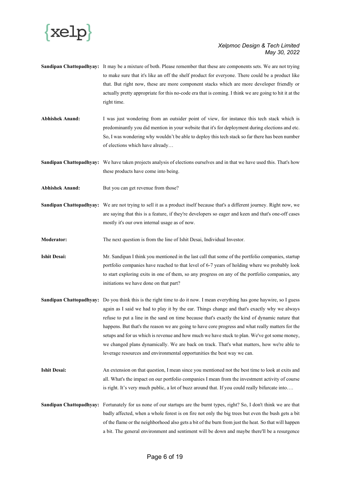

- **Sandipan Chattopadhyay:** It may be a mixture of both. Please remember that these are components sets. We are not trying to make sure that it's like an off the shelf product for everyone. There could be a product like that. But right now, these are more component stacks which are more developer friendly or actually pretty appropriate for this no-code era that is coming. I think we are going to hit it at the right time.
- **Abhishek Anand:** I was just wondering from an outsider point of view, for instance this tech stack which is predominantly you did mention in your website that it's for deployment during elections and etc. So, I was wondering why wouldn't be able to deploy this tech stack so far there has been number of elections which have already…

**Sandipan Chattopadhyay:** We have taken projects analysis of elections ourselves and in that we have used this. That's how these products have come into being.

- Abhishek Anand: But you can get revenue from those?
- **Sandipan Chattopadhyay:** We are not trying to sell it as a product itself because that's a different journey. Right now, we are saying that this is a feature, if they're developers so eager and keen and that's one-off cases mostly it's our own internal usage as of now.

**Moderator:** The next question is from the line of Ishit Desai, Individual Investor.

**Ishit Desai:** Mr. Sandipan I think you mentioned in the last call that some of the portfolio companies, startup portfolio companies have reached to that level of 6-7 years of holding where we probably look to start exploring exits in one of them, so any progress on any of the portfolio companies, any initiations we have done on that part?

- **Sandipan Chattopadhyay:** Do you think this is the right time to do it now. I mean everything has gone haywire, so I guess again as I said we had to play it by the ear. Things change and that's exactly why we always refuse to put a line in the sand on time because that's exactly the kind of dynamic nature that happens. But that's the reason we are going to have core progress and what really matters for the setups and for us which is revenue and how much we have stuck to plan. We've got some money, we changed plans dynamically. We are back on track. That's what matters, how we're able to leverage resources and environmental opportunities the best way we can.
- **Ishit Desai:** An extension on that question, I mean since you mentioned not the best time to look at exits and all. What's the impact on our portfolio companies I mean from the investment activity of course is right. It's very much public, a lot of buzz around that. If you could really bifurcate into….
- **Sandipan Chattopadhyay:** Fortunately for us none of our startups are the burnt types, right? So, I don't think we are that badly affected, when a whole forest is on fire not only the big trees but even the bush gets a bit of the flame or the neighborhood also gets a bit of the burn from just the heat. So that will happen a bit. The general environment and sentiment will be down and maybe there'll be a resurgence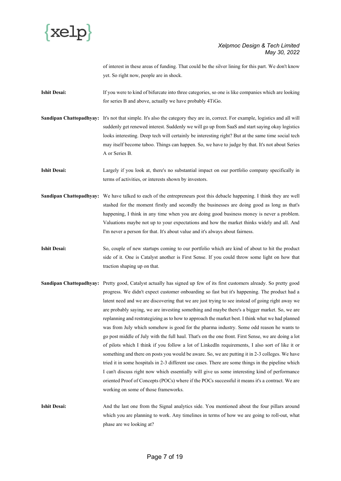

of interest in these areas of funding. That could be the silver lining for this part. We don't know yet. So right now, people are in shock.

**Ishit Desai:** If you were to kind of bifurcate into three categories, so one is like companies which are looking for series B and above, actually we have probably 4TiGo.

**Sandipan Chattopadhyay:** It's not that simple. It's also the category they are in, correct. For example, logistics and all will suddenly get renewed interest. Suddenly we will go up from SaaS and start saying okay logistics looks interesting. Deep tech will certainly be interesting right? But at the same time social tech may itself become taboo. Things can happen. So, we have to judge by that. It's not about Series A or Series B.

**Ishit Desai:** Largely if you look at, there's no substantial impact on our portfolio company specifically in terms of activities, or interests shown by investors.

- **Sandipan Chattopadhyay:** We have talked to each of the entrepreneurs post this debacle happening. I think they are well stashed for the moment firstly and secondly the businesses are doing good as long as that's happening, I think in any time when you are doing good business money is never a problem. Valuations maybe not up to your expectations and how the market thinks widely and all. And I'm never a person for that. It's about value and it's always about fairness.
- **Ishit Desai:** So, couple of new startups coming to our portfolio which are kind of about to hit the product side of it. One is Catalyst another is First Sense. If you could throw some light on how that traction shaping up on that.
- **Sandipan Chattopadhyay:** Pretty good, Catalyst actually has signed up few of its first customers already. So pretty good progress. We didn't expect customer onboarding so fast but it's happening. The product had a latent need and we are discovering that we are just trying to see instead of going right away we are probably saying, we are investing something and maybe there's a bigger market. So, we are replanning and restrategizing as to how to approach the market best. I think what we had planned was from July which somehow is good for the pharma industry. Some odd reason he wants to go post middle of July with the full haul. That's on the one front. First Sense, we are doing a lot of pilots which I think if you follow a lot of LinkedIn requirements, I also sort of like it or something and there on posts you would be aware. So, we are putting it in 2-3 colleges. We have tried it in some hospitals in 2-3 different use cases. There are some things in the pipeline which I can't discuss right now which essentially will give us some interesting kind of performance oriented Proof of Concepts (POCs) where if the POCs successful it means it's a contract. We are working on some of those frameworks.
- **Ishit Desai:** And the last one from the Signal analytics side. You mentioned about the four pillars around which you are planning to work. Any timelines in terms of how we are going to roll-out, what phase are we looking at?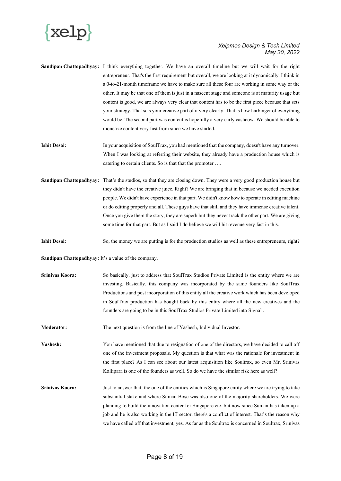

**Sandipan Chattopadhyay:** I think everything together. We have an overall timeline but we will wait for the right entrepreneur. That's the first requirement but overall, we are looking at it dynamically. I think in a 0-to-21-month timeframe we have to make sure all these four are working in some way or the other. It may be that one of them is just in a nascent stage and someone is at maturity usage but content is good, we are always very clear that content has to be the first piece because that sets your strategy. That sets your creative part of it very clearly. That is how harbinger of everything would be. The second part was content is hopefully a very early cashcow. We should be able to monetize content very fast from since we have started.

- **Ishit Desai:** In your acquisition of SoulTrax, you had mentioned that the company, doesn't have any turnover. When I was looking at referring their website, they already have a production house which is catering to certain clients. So is that that the promoter ….
- **Sandipan Chattopadhyay:** That's the studios, so that they are closing down. They were a very good production house but they didn't have the creative juice. Right? We are bringing that in because we needed execution people. We didn't have experience in that part. We didn't know how to operate in editing machine or do editing properly and all. These guys have that skill and they have immense creative talent. Once you give them the story, they are superb but they never track the other part. We are giving some time for that part. But as I said I do believe we will hit revenue very fast in this.
- **Ishit Desai:** So, the money we are putting is for the production studios as well as these entrepreneurs, right?

**Sandipan Chattopadhyay:** It's a value of the company.

- **Srinivas Koora:** So basically, just to address that SoulTrax Studios Private Limited is the entity where we are investing. Basically, this company was incorporated by the same founders like SoulTrax Productions and post incorporation of this entity all the creative work which has been developed in SoulTrax production has bought back by this entity where all the new creatives and the founders are going to be in this SoulTrax Studios Private Limited into Signal .
- **Moderator:** The next question is from the line of Yashesh, Individual Investor.

Yashesh: You have mentioned that due to resignation of one of the directors, we have decided to call off one of the investment proposals. My question is that what was the rationale for investment in the first place? As I can see about our latest acquisition like Soultrax, so even Mr. Srinivas Kollipara is one of the founders as well. So do we have the similar risk here as well?

**Srinivas Koora:** Just to answer that, the one of the entities which is Singapore entity where we are trying to take substantial stake and where Suman Bose was also one of the majority shareholders. We were planning to build the innovation center for Singapore etc. but now since Suman has taken up a job and he is also working in the IT sector, there's a conflict of interest. That's the reason why we have called off that investment, yes. As far as the Soultrax is concerned in Soultrax, Srinivas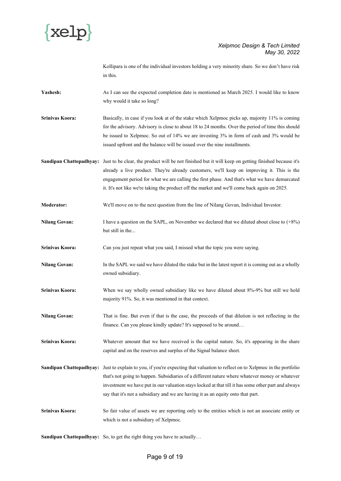

Kollipara is one of the individual investors holding a very minority share. So we don't have risk in this.

Yashesh: As I can see the expected completion date is mentioned as March 2025. I would like to know why would it take so long?

**Srinivas Koora:** Basically, in case if you look at of the stake which Xelpmoc picks up, majority 11% is coming for the advisory. Advisory is close to about 18 to 24 months. Over the period of time this should be issued to Xelpmoc. So out of 14% we are investing 3% in form of cash and 3% would be issued upfront and the balance will be issued over the nine installments.

**Sandipan Chattopadhyay:** Just to be clear, the product will be not finished but it will keep on getting finished because it's already a live product. They're already customers, we'll keep on improving it. This is the engagement period for what we are calling the first phase. And that's what we have demarcated it. It's not like we're taking the product off the market and we'll come back again on 2025.

**Moderator:** We'll move on to the next question from the line of Nilang Govan, Individual Investor.

Nilang Govan: I have a question on the SAPL, on November we declared that we diluted about close to  $(+8%)$ but still in the...

**Srinivas Koora:** Can you just repeat what you said, I missed what the topic you were saying.

- **Nilang Govan:** In the SAPL we said we have diluted the stake but in the latest report it is coming out as a wholly owned subsidiary.
- **Srinivas Koora:** When we say wholly owned subsidiary like we have diluted about 8%-9% but still we hold majority 91%. So, it was mentioned in that context.
- **Nilang Govan:** That is fine. But even if that is the case, the proceeds of that dilution is not reflecting in the finance. Can you please kindly update? It's supposed to be around…
- **Srinivas Koora:** Whatever amount that we have received is the capital nature. So, it's appearing in the share capital and on the reserves and surplus of the Signal balance sheet.
- **Sandipan Chattopadhyay:** Just to explain to you, if you're expecting that valuation to reflect on to Xelpmoc in the portfolio that's not going to happen. Subsidiaries of a different nature where whatever money or whatever investment we have put in our valuation stays locked at that till it has some other part and always say that it's not a subsidiary and we are having it as an equity onto that part.
- **Srinivas Koora:** So fair value of assets we are reporting only to the entities which is not an associate entity or which is not a subsidiary of Xelpmoc.

**Sandipan Chattopadhyay:** So, to get the right thing you have to actually…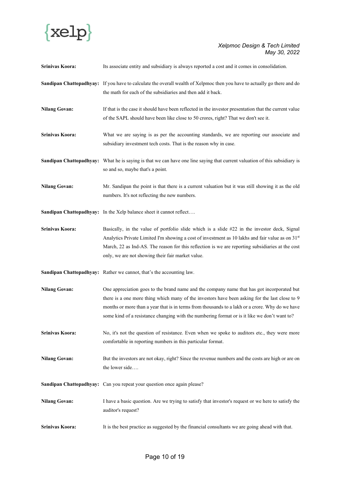

| Srinivas Koora:      | Its associate entity and subsidiary is always reported a cost and it comes in consolidation.                                                                                                                                                                                                                                                                                                    |
|----------------------|-------------------------------------------------------------------------------------------------------------------------------------------------------------------------------------------------------------------------------------------------------------------------------------------------------------------------------------------------------------------------------------------------|
|                      | Sandipan Chattopadhyay: If you have to calculate the overall wealth of Xelpmoc then you have to actually go there and do<br>the math for each of the subsidiaries and then add it back.                                                                                                                                                                                                         |
| <b>Nilang Govan:</b> | If that is the case it should have been reflected in the investor presentation that the current value<br>of the SAPL should have been like close to 50 crores, right? That we don't see it.                                                                                                                                                                                                     |
| Srinivas Koora:      | What we are saying is as per the accounting standards, we are reporting our associate and<br>subsidiary investment tech costs. That is the reason why in case.                                                                                                                                                                                                                                  |
|                      | Sandipan Chattopadhyay: What he is saying is that we can have one line saying that current valuation of this subsidiary is<br>so and so, maybe that's a point.                                                                                                                                                                                                                                  |
| <b>Nilang Govan:</b> | Mr. Sandipan the point is that there is a current valuation but it was still showing it as the old<br>numbers. It's not reflecting the new numbers.                                                                                                                                                                                                                                             |
|                      | Sandipan Chattopadhyay: In the Xelp balance sheet it cannot reflect                                                                                                                                                                                                                                                                                                                             |
| Srinivas Koora:      | Basically, in the value of portfolio slide which is a slide #22 in the investor deck, Signal<br>Analytics Private Limited I'm showing a cost of investment as 10 lakhs and fair value as on 31 <sup>st</sup><br>March, 22 as Ind-AS. The reason for this reflection is we are reporting subsidiaries at the cost<br>only, we are not showing their fair market value.                           |
|                      | Sandipan Chattopadhyay: Rather we cannot, that's the accounting law.                                                                                                                                                                                                                                                                                                                            |
| <b>Nilang Govan:</b> | One appreciation goes to the brand name and the company name that has got incorporated but<br>there is a one more thing which many of the investors have been asking for the last close to 9<br>months or more than a year that is in terms from thousands to a lakh or a crore. Why do we have<br>some kind of a resistance changing with the numbering format or is it like we don't want to? |
| Srinivas Koora:      | No, it's not the question of resistance. Even when we spoke to auditors etc., they were more<br>comfortable in reporting numbers in this particular format.                                                                                                                                                                                                                                     |
| <b>Nilang Govan:</b> | But the investors are not okay, right? Since the revenue numbers and the costs are high or are on<br>the lower side                                                                                                                                                                                                                                                                             |
|                      | Sandipan Chattopadhyay: Can you repeat your question once again please?                                                                                                                                                                                                                                                                                                                         |
| <b>Nilang Govan:</b> | I have a basic question. Are we trying to satisfy that investor's request or we here to satisfy the<br>auditor's request?                                                                                                                                                                                                                                                                       |
| Srinivas Koora:      | It is the best practice as suggested by the financial consultants we are going ahead with that.                                                                                                                                                                                                                                                                                                 |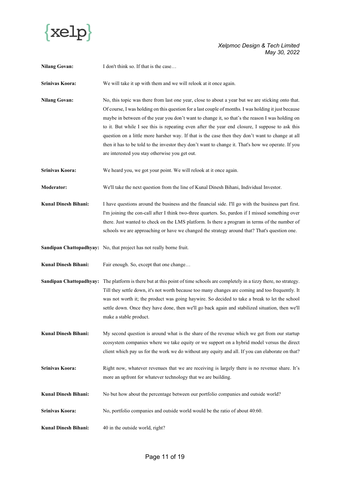

| <b>Nilang Govan:</b>           | I don't think so. If that is the case                                                                                                                                                                                                                                                                                                                                                                                                                                                                                                                                                                                                                                       |
|--------------------------------|-----------------------------------------------------------------------------------------------------------------------------------------------------------------------------------------------------------------------------------------------------------------------------------------------------------------------------------------------------------------------------------------------------------------------------------------------------------------------------------------------------------------------------------------------------------------------------------------------------------------------------------------------------------------------------|
| Srinivas Koora:                | We will take it up with them and we will relook at it once again.                                                                                                                                                                                                                                                                                                                                                                                                                                                                                                                                                                                                           |
| <b>Nilang Govan:</b>           | No, this topic was there from last one year, close to about a year but we are sticking onto that.<br>Of course, I was holding on this question for a last couple of months. I was holding it just because<br>maybe in between of the year you don't want to change it, so that's the reason I was holding on<br>to it. But while I see this is repeating even after the year end closure, I suppose to ask this<br>question on a little more harsher way. If that is the case then they don't want to change at all<br>then it has to be told to the investor they don't want to change it. That's how we operate. If you<br>are interested you stay otherwise you get out. |
| Srinivas Koora:                | We heard you, we got your point. We will relook at it once again.                                                                                                                                                                                                                                                                                                                                                                                                                                                                                                                                                                                                           |
| Moderator:                     | We'll take the next question from the line of Kunal Dinesh Bihani, Individual Investor.                                                                                                                                                                                                                                                                                                                                                                                                                                                                                                                                                                                     |
| <b>Kunal Dinesh Bihani:</b>    | I have questions around the business and the financial side. I'll go with the business part first.<br>I'm joining the con-call after I think two-three quarters. So, pardon if I missed something over<br>there. Just wanted to check on the LMS platform. Is there a program in terms of the number of<br>schools we are approaching or have we changed the strategy around that? That's question one.                                                                                                                                                                                                                                                                     |
|                                | Sandipan Chattopadhyay: No, that project has not really borne fruit.                                                                                                                                                                                                                                                                                                                                                                                                                                                                                                                                                                                                        |
| Kunal Dinesh Bihani:           | Fair enough. So, except that one change                                                                                                                                                                                                                                                                                                                                                                                                                                                                                                                                                                                                                                     |
| <b>Sandipan Chattopadhyay:</b> | The platform is there but at this point of time schools are completely in a tizzy there, no strategy.<br>Till they settle down, it's not worth because too many changes are coming and too frequently. It<br>was not worth it; the product was going haywire. So decided to take a break to let the school<br>settle down. Once they have done, then we'll go back again and stabilized situation, then we'll<br>make a stable product.                                                                                                                                                                                                                                     |
| <b>Kunal Dinesh Bihani:</b>    | My second question is around what is the share of the revenue which we get from our startup<br>ecosystem companies where we take equity or we support on a hybrid model versus the direct<br>client which pay us for the work we do without any equity and all. If you can elaborate on that?                                                                                                                                                                                                                                                                                                                                                                               |
| Srinivas Koora:                | Right now, whatever revenues that we are receiving is largely there is no revenue share. It's<br>more an upfront for whatever technology that we are building.                                                                                                                                                                                                                                                                                                                                                                                                                                                                                                              |
| Kunal Dinesh Bihani:           | No but how about the percentage between our portfolio companies and outside world?                                                                                                                                                                                                                                                                                                                                                                                                                                                                                                                                                                                          |
| Srinivas Koora:                | No, portfolio companies and outside world would be the ratio of about 40:60.                                                                                                                                                                                                                                                                                                                                                                                                                                                                                                                                                                                                |
| Kunal Dinesh Bihani:           | 40 in the outside world, right?                                                                                                                                                                                                                                                                                                                                                                                                                                                                                                                                                                                                                                             |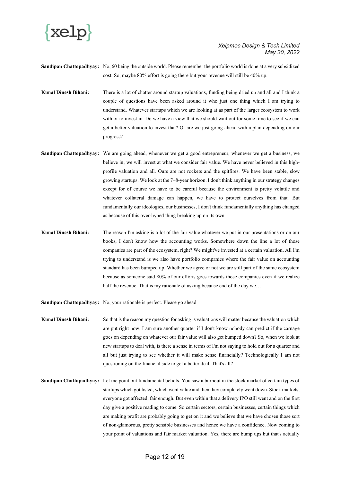

**Sandipan Chattopadhyay:** No, 60 being the outside world. Please remember the portfolio world is done at a very subsidized cost. So, maybe 80% effort is going there but your revenue will still be 40% up.

- **Kunal Dinesh Bihani:** There is a lot of chatter around startup valuations, funding being dried up and all and I think a couple of questions have been asked around it who just one thing which I am trying to understand. Whatever startups which we are looking at as part of the larger ecosystem to work with or to invest in. Do we have a view that we should wait out for some time to see if we can get a better valuation to invest that? Or are we just going ahead with a plan depending on our progress?
- **Sandipan Chattopadhyay:** We are going ahead, whenever we get a good entrepreneur, whenever we get a business, we believe in; we will invest at what we consider fair value. We have never believed in this highprofile valuation and all. Ours are not rockets and the spitfires. We have been stable, slow growing startups. We look at the 7–8-year horizon. I don't think anything in our strategy changes except for of course we have to be careful because the environment is pretty volatile and whatever collateral damage can happen, we have to protect ourselves from that. But fundamentally our ideologies, our businesses, I don't think fundamentally anything has changed as because of this over-hyped thing breaking up on its own.
- **Kunal Dinesh Bihani:** The reason I'm asking is a lot of the fair value whatever we put in our presentations or on our books, I don't know how the accounting works. Somewhere down the line a lot of those companies are part of the ecosystem, right? We might've invested at a certain valuation**.** All I'm trying to understand is we also have portfolio companies where the fair value on accounting standard has been bumped up. Whether we agree or not we are still part of the same ecosystem because as someone said 80% of our efforts goes towards those companies even if we realize half the revenue. That is my rationale of asking because end of the day we....

**Sandipan Chattopadhyay:** No, your rationale is perfect. Please go ahead.

- **Kunal Dinesh Bihani:** So that is the reason my question for asking is valuations will matter because the valuation which are put right now, I am sure another quarter if I don't know nobody can predict if the carnage goes on depending on whatever our fair value will also get bumped down? So, when we look at new startups to deal with, is there a sense in terms of I'm not saying to hold out for a quarter and all but just trying to see whether it will make sense financially? Technologically I am not questioning on the financial side to get a better deal. That's all?
- **Sandipan Chattopadhyay:** Let me point out fundamental beliefs. You saw a burnout in the stock market of certain types of startups which got listed, which went value and then they completely went down. Stock markets, everyone got affected, fair enough. But even within that a delivery IPO still went and on the first day give a positive reading to come. So certain sectors, certain businesses, certain things which are making profit are probably going to get on it and we believe that we have chosen those sort of non-glamorous, pretty sensible businesses and hence we have a confidence. Now coming to your point of valuations and fair market valuation. Yes, there are bump ups but that's actually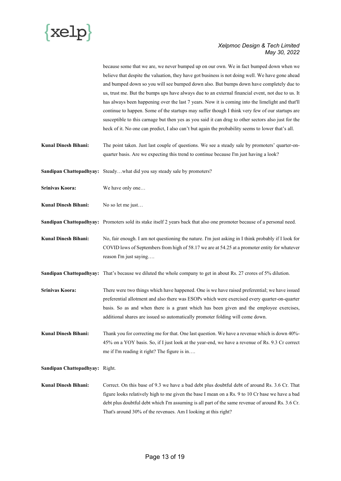

because some that we are, we never bumped up on our own. We in fact bumped down when we believe that despite the valuation, they have got business is not doing well. We have gone ahead and bumped down so you will see bumped down also. But bumps down have completely due to us, trust me. But the bumps ups have always due to an external financial event, not due to us. It has always been happening over the last 7 years. Now it is coming into the limelight and that'll continue to happen. Some of the startups may suffer though I think very few of our startups are susceptible to this carnage but then yes as you said it can drag to other sectors also just for the heck of it. No one can predict, I also can't but again the probability seems to lower that's all.

**Kunal Dinesh Bihani:** The point taken. Just last couple of questions. We see a steady sale by promoters' quarter-onquarter basis. Are we expecting this trend to continue because I'm just having a look?

**Sandipan Chattopadhyay:** Steady…what did you say steady sale by promoters?

**Srinivas Koora:** We have only one…

**Kunal Dinesh Bihani:** No so let me just...

**Sandipan Chattopadhyay:** Promoters sold its stake itself 2 years back that also one promoter because of a personal need.

**Kunal Dinesh Bihani:** No, fair enough. I am not questioning the nature. I'm just asking in I think probably if I look for COVID lows of Septembers from high of 58.17 we are at 54.25 at a promoter entity for whatever reason I'm just saying….

**Sandipan Chattopadhyay:** That's because we diluted the whole company to get in about Rs. 27 crores of 5% dilution.

**Srinivas Koora:** There were two things which have happened. One is we have raised preferential; we have issued preferential allotment and also there was ESOPs which were exercised every quarter-on-quarter basis. So as and when there is a grant which has been given and the employee exercises, additional shares are issued so automatically promoter folding will come down.

**Kunal Dinesh Bihani:** Thank you for correcting me for that. One last question. We have a revenue which is down 40%-45% on a YOY basis. So, if I just look at the year-end, we have a revenue of Rs. 9.3 Cr correct me if I'm reading it right? The figure is in….

**Sandipan Chattopadhyay:** Right.

**Kunal Dinesh Bihani:** Correct. On this base of 9.3 we have a bad debt plus doubtful debt of around Rs. 3.6 Cr. That figure looks relatively high to me given the base I mean on a Rs. 9 to 10 Cr base we have a bad debt plus doubtful debt which I'm assuming is all part of the same revenue of around Rs. 3.6 Cr. That's around 30% of the revenues. Am I looking at this right?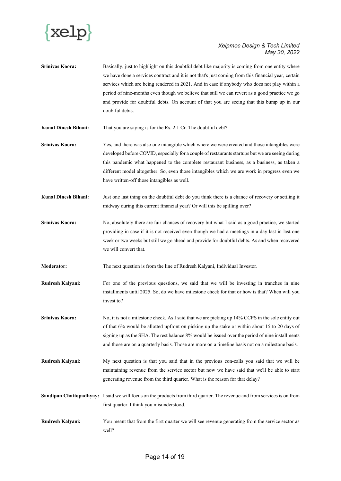

- **Srinivas Koora:** Basically, just to highlight on this doubtful debt like majority is coming from one entity where we have done a services contract and it is not that's just coming from this financial year, certain services which are being rendered in 2021. And in case if anybody who does not play within a period of nine-months even though we believe that still we can revert as a good practice we go and provide for doubtful debts. On account of that you are seeing that this bump up in our doubtful debts.
- **Kunal Dinesh Bihani:** That you are saying is for the Rs. 2.1 Cr. The doubtful debt?
- **Srinivas Koora:** Yes, and there was also one intangible which where we were created and those intangibles were developed before COVID, especially for a couple of restaurants startups but we are seeing during this pandemic what happened to the complete restaurant business, as a business, as taken a different model altogether. So, even those intangibles which we are work in progress even we have written-off those intangibles as well.
- **Kunal Dinesh Bihani:** Just one last thing on the doubtful debt do you think there is a chance of recovery or settling it midway during this current financial year? Or will this be spilling over?
- **Srinivas Koora:** No, absolutely there are fair chances of recovery but what I said as a good practice, we started providing in case if it is not received even though we had a meetings in a day last in last one week or two weeks but still we go ahead and provide for doubtful debts. As and when recovered we will convert that.
- **Moderator:** The next question is from the line of Rudresh Kalyani, Individual Investor.
- **Rudresh Kalyani:** For one of the previous questions, we said that we will be investing in tranches in nine installments until 2025. So, do we have milestone check for that or how is that? When will you invest to?
- **Srinivas Koora:** No, it is not a milestone check. As I said that we are picking up 14% CCPS in the sole entity out of that 6% would be allotted upfront on picking up the stake or within about 15 to 20 days of signing up as the SHA. The rest balance 8% would be issued over the period of nine installments and those are on a quarterly basis. Those are more on a timeline basis not on a milestone basis.
- **Rudresh Kalyani:** My next question is that you said that in the previous con-calls you said that we will be maintaining revenue from the service sector but now we have said that we'll be able to start generating revenue from the third quarter. What is the reason for that delay?
- **Sandipan Chattopadhyay:** I said we will focus on the products from third quarter. The revenue and from services is on from first quarter. I think you misunderstood.
- **Rudresh Kalyani:** You meant that from the first quarter we will see revenue generating from the service sector as well?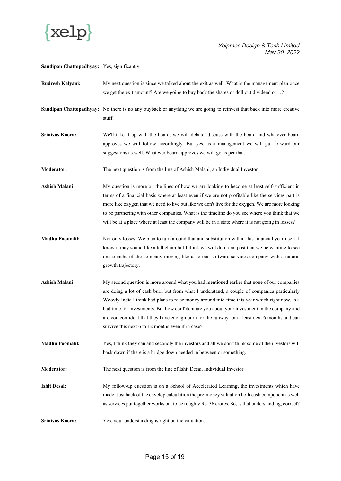

**Sandipan Chattopadhyay:** Yes, significantly.

- **Rudresh Kalyani:** My next question is since we talked about the exit as well. What is the management plan once we get the exit amount? Are we going to buy back the shares or doll out dividend or…?
- Sandipan Chattopadhyay: No there is no any buyback or anything we are going to reinvest that back into more creative stuff.
- **Srinivas Koora:** We'll take it up with the board, we will debate, discuss with the board and whatever board approves we will follow accordingly. But yes, as a management we will put forward our suggestions as well. Whatever board approves we will go as per that.

**Moderator:** The next question is from the line of Ashish Malani, an Individual Investor.

Ashish Malani: My question is more on the lines of how we are looking to become at least self-sufficient in terms of a financial basis where at least even if we are not profitable like the services part is more like oxygen that we need to live but like we don't live for the oxygen. We are more looking to be partnering with other companies. What is the timeline do you see where you think that we will be at a place where at least the company will be in a state where it is not going in losses?

- **Madhu Poomalil:** Not only losses. We plan to turn around that and substitution within this financial year itself. I know it may sound like a tall claim but I think we will do it and post that we be wanting to see one tranche of the company moving like a normal software services company with a natural growth trajectory.
- **Ashish Malani:** My second question is more around what you had mentioned earlier that none of our companies are doing a lot of cash burn but from what I understand, a couple of companies particularly Woovly India I think had plans to raise money around mid-time this year which right now, is a bad time for investments. But how confident are you about your investment in the company and are you confident that they have enough burn for the runway for at least next 6 months and can survive this next 6 to 12 months even if in case?
- **Madhu Poomalil:** Yes, I think they can and secondly the investors and all we don't think some of the investors will back down if there is a bridge down needed in between or something.

**Moderator:** The next question is from the line of Ishit Desai, Individual Investor.

- **Ishit Desai:** My follow-up question is on a School of Accelerated Learning, the investments which have made. Just back of the envelop calculation the pre-money valuation both cash component as well as services put together works out to be roughly Rs. 36 crores. So, is that understanding, correct?
- **Srinivas Koora:** Yes, your understanding is right on the valuation.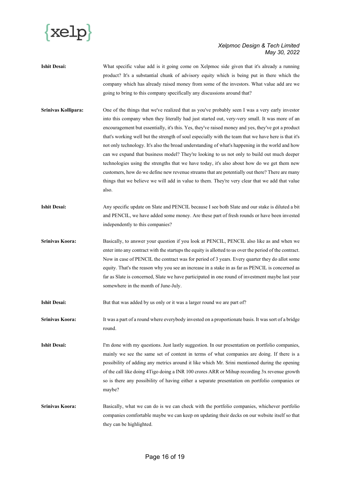

- **Ishit Desai:** What specific value add is it going come on Xelpmoc side given that it's already a running product? It's a substantial chunk of advisory equity which is being put in there which the company which has already raised money from some of the investors. What value add are we going to bring to this company specifically any discussions around that?
- **Srinivas Kollipara:** One of the things that we've realized that as you've probably seen I was a very early investor into this company when they literally had just started out, very-very small. It was more of an encouragement but essentially, it's this. Yes, they've raised money and yes, they've got a product that's working well but the strength of soul especially with the team that we have here is that it's not only technology. It's also the broad understanding of what's happening in the world and how can we expand that business model? They're looking to us not only to build out much deeper technologies using the strengths that we have today, it's also about how do we get them new customers, how do we define new revenue streams that are potentially out there? There are many things that we believe we will add in value to them. They're very clear that we add that value also.
- **Ishit Desai:** Any specific update on Slate and PENCIL because I see both Slate and our stake is diluted a bit and PENCIL, we have added some money. Are these part of fresh rounds or have been invested independently to this companies?
- **Srinivas Koora:** Basically, to answer your question if you look at PENCIL, PENCIL also like as and when we enter into any contract with the startups the equity is allotted to us over the period of the contract. Now in case of PENCIL the contract was for period of 3 years. Every quarter they do allot some equity. That's the reason why you see an increase in a stake in as far as PENCIL is concerned as far as Slate is concerned, Slate we have participated in one round of investment maybe last year somewhere in the month of June-July.
- **Ishit Desai:** But that was added by us only or it was a larger round we are part of?

Srinivas Koora: It was a part of a round where everybody invested on a proportionate basis. It was sort of a bridge round.

**Ishit Desai:** I'm done with my questions. Just lastly suggestion. In our presentation on portfolio companies, mainly we see the same set of content in terms of what companies are doing. If there is a possibility of adding any metrics around it like which Mr. Srini mentioned during the opening of the call like doing 4Tigo doing a INR 100 crores ARR or Mihup recording 3x revenue growth so is there any possibility of having either a separate presentation on portfolio companies or maybe?

**Srinivas Koora:** Basically, what we can do is we can check with the portfolio companies, whichever portfolio companies comfortable maybe we can keep on updating their decks on our website itself so that they can be highlighted.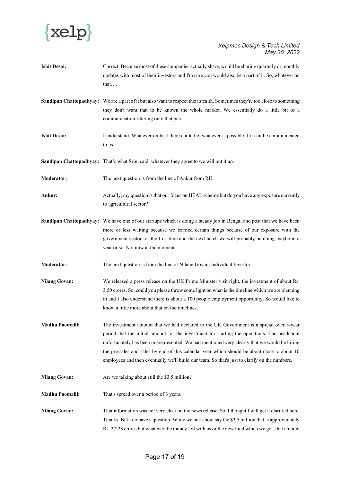

- **Ishit Desai:** Correct. Because most of these companies actually share, would be sharing quarterly or monthly updates with most of their investors and I'm sure you would also be a part of it. So, whatever on that….
- **Sandipan Chattopadhyay:** We are a part of it but also want to respect their stealth. Sometimes they're too close to something they don't want that to be known the whole market. We essentially do a little bit of a communication filtering onto that part.
- Ishit Desai: I understand. Whatever on best there could be, whatever is possible if it can be communicated to us.
- **Sandipan Chattopadhyay:** That's what Srini said, whatever they agree to we will put it up.
- **Moderator:** The next question is from the line of Ankur from RIL.
- **Ankur:** Actually, my question is that our focus on HEAL scheme but do you have any exposure currently to agricultural sector?
- **Sandipan Chattopadhyay:** We have one of our startups which is doing a steady job in Bengal and post that we have been more or less waiting because we learned certain things because of our exposure with the government sector for the first time and the next batch we will probably be doing maybe in a year or so. Not now at the moment.
- **Moderator:** The next question is from the line of Nilang Govan, Individual Investor.
- **Nilang Govan:** We released a press release on the UK Prime Minister visit right, the investment of about Rs. 3.50 crores. So, could you please throw some light on what is the timeline which we are planning in and I also understand there is about a 100 people employment opportunity. So would like to know a little more about that on the timelines.
- **Madhu Poomalil:** The investment amount that we had declared to the UK Government is a spread over 3-year period that the initial amount for the investment for starting the operations. The headcount unfortunately has been misrepresented. We had mentioned very clearly that we would be hiring the pre-sales and sales by end of this calendar year which should be about close to about 10 employees and then eventually we'll build our team. So that's just to clarify on the numbers.
- Nilang Govan: Are we talking about still the \$3.5 million?
- **Madhu Poomalil:** That's spread over a period of 3 years.
- **Nilang Govan:** That information was not very clear on the news release. So, I thought I will get it clarified here. Thanks. But I do have a question. While we talk about say the \$3.5 million that is approximately Rs. 27-28 crores but whatever the money left with us or the new fund which we got, that amount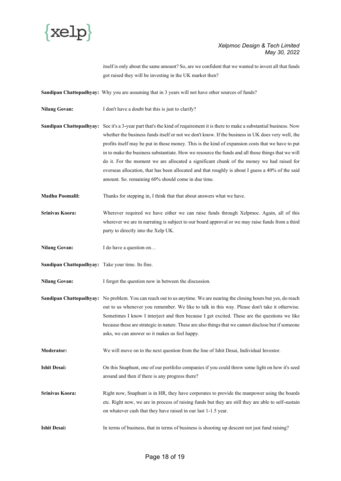

itself is only about the same amount? So, are we confident that we wanted to invest all that funds got raised they will be investing in the UK market then?

**Sandipan Chattopadhyay:** Why you are assuming that in 3 years will not have other sources of funds?

Nilang Govan: I don't have a doubt but this is just to clarify?

**Sandipan Chattopadhyay:** See it's a 3-year part that's the kind of requirement it is there to make a substantial business. Now whether the business funds itself or not we don't know. If the business in UK does very well, the profits itself may be put in those money. This is the kind of expansion costs that we have to put in to make the business substantiate. How we resource the funds and all those things that we will do it. For the moment we are allocated a significant chunk of the money we had raised for overseas allocation, that has been allocated and that roughly is about I guess a 40% of the said amount. So. remaining 60% should come in due time.

**Madhu Poomalil:** Thanks for stepping in, I think that about answers what we have.

- **Srinivas Koora:** Wherever required we have either we can raise funds through Xelpmoc. Again, all of this wherever we are in narrating is subject to our board approval or we may raise funds from a third party to directly into the Xelp UK.
- **Nilang Govan:** I do have a question on...
- **Sandipan Chattopadhyay:** Take your time. Its fine.

Nilang Govan: I forgot the question now in between the discussion.

- **Sandipan Chattopadhyay:** No problem. You can reach out to us anytime. We are nearing the closing hours but yes, do reach out to us whenever you remember. We like to talk in this way. Please don't take it otherwise. Sometimes I know I interject and then because I get excited. These are the questions we like because these are strategic in nature. These are also things that we cannot disclose but if someone asks, we can answer so it makes us feel happy.
- **Moderator:** We will move on to the next question from the line of Ishit Desai, Individual Investor.
- **Ishit Desai:** On this Snaphunt, one of our portfolio companies if you could throw some light on how it's seed around and then if there is any progress there?
- **Srinivas Koora:** Right now, Snaphunt is in HR, they have corporates to provide the manpower using the boards etc. Right now, we are in process of raising funds but they are still they are able to self-sustain on whatever cash that they have raised in our last 1-1.5 year.
- **Ishit Desai:** In terms of business, that in terms of business is shooting up descent not just fund raising?